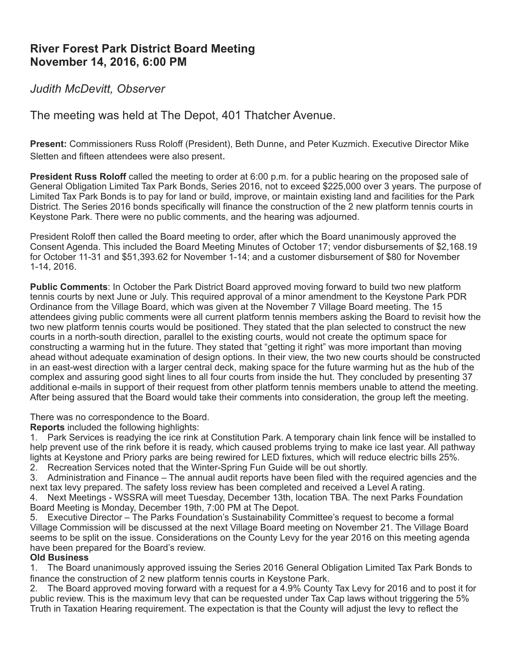# **River Forest Park District Board Meeting November 14, 2016, 6:00 PM**

### *Judith McDevitt, Observer*

## The meeting was held at The Depot, 401 Thatcher Avenue.

**Present:** Commissioners Russ Roloff (President), Beth Dunne, and Peter Kuzmich. Executive Director Mike Sletten and fifteen attendees were also present.

**President Russ Roloff** called the meeting to order at 6:00 p.m. for a public hearing on the proposed sale of General Obligation Limited Tax Park Bonds, Series 2016, not to exceed \$225,000 over 3 years. The purpose of Limited Tax Park Bonds is to pay for land or build, improve, or maintain existing land and facilities for the Park District. The Series 2016 bonds specifically will finance the construction of the 2 new platform tennis courts in Keystone Park. There were no public comments, and the hearing was adjourned.

President Roloff then called the Board meeting to order, after which the Board unanimously approved the Consent Agenda. This included the Board Meeting Minutes of October 17; vendor disbursements of \$2,168.19 for October 11-31 and \$51,393.62 for November 1-14; and a customer disbursement of \$80 for November 1-14, 2016.

**Public Comments**: In October the Park District Board approved moving forward to build two new platform tennis courts by next June or July. This required approval of a minor amendment to the Keystone Park PDR Ordinance from the Village Board, which was given at the November 7 Village Board meeting. The 15 attendees giving public comments were all current platform tennis members asking the Board to revisit how the two new platform tennis courts would be positioned. They stated that the plan selected to construct the new courts in a north-south direction, parallel to the existing courts, would not create the optimum space for constructing a warming hut in the future. They stated that "getting it right" was more important than moving ahead without adequate examination of design options. In their view, the two new courts should be constructed in an east-west direction with a larger central deck, making space for the future warming hut as the hub of the complex and assuring good sight lines to all four courts from inside the hut. They concluded by presenting 37 additional e-mails in support of their request from other platform tennis members unable to attend the meeting. After being assured that the Board would take their comments into consideration, the group left the meeting.

There was no correspondence to the Board.

**Reports** included the following highlights:

1. Park Services is readying the ice rink at Constitution Park. A temporary chain link fence will be installed to help prevent use of the rink before it is ready, which caused problems trying to make ice last year. All pathway lights at Keystone and Priory parks are being rewired for LED fixtures, which will reduce electric bills 25%.

2. Recreation Services noted that the Winter-Spring Fun Guide will be out shortly.

3. Administration and Finance – The annual audit reports have been filed with the required agencies and the next tax levy prepared. The safety loss review has been completed and received a Level A rating.

4. Next Meetings - WSSRA will meet Tuesday, December 13th, location TBA. The next Parks Foundation Board Meeting is Monday, December 19th, 7:00 PM at The Depot.

5. Executive Director – The Parks Foundation's Sustainability Committee's request to become a formal Village Commission will be discussed at the next Village Board meeting on November 21. The Village Board seems to be split on the issue. Considerations on the County Levy for the year 2016 on this meeting agenda have been prepared for the Board's review.

#### **Old Business**

1. The Board unanimously approved issuing the Series 2016 General Obligation Limited Tax Park Bonds to finance the construction of 2 new platform tennis courts in Keystone Park.

2. The Board approved moving forward with a request for a 4.9% County Tax Levy for 2016 and to post it for public review. This is the maximum levy that can be requested under Tax Cap laws without triggering the 5% Truth in Taxation Hearing requirement. The expectation is that the County will adjust the levy to reflect the